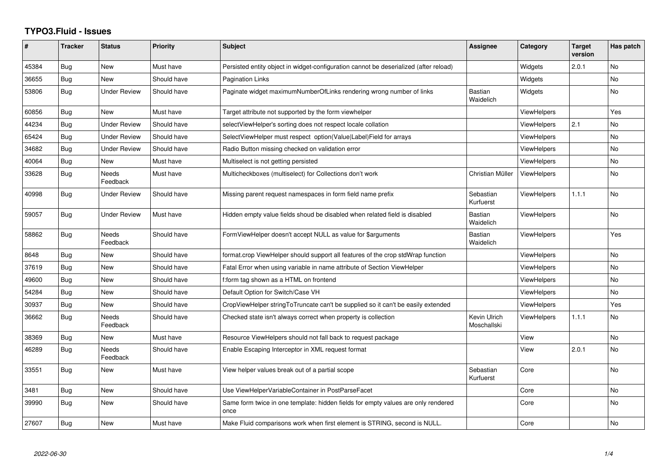## **TYPO3.Fluid - Issues**

| #     | <b>Tracker</b> | <b>Status</b>            | Priority    | <b>Subject</b>                                                                            | Assignee                    | Category           | <b>Target</b><br>version | Has patch      |
|-------|----------------|--------------------------|-------------|-------------------------------------------------------------------------------------------|-----------------------------|--------------------|--------------------------|----------------|
| 45384 | Bug            | <b>New</b>               | Must have   | Persisted entity object in widget-configuration cannot be deserialized (after reload)     |                             | Widgets            | 2.0.1                    | <b>No</b>      |
| 36655 | Bug            | <b>New</b>               | Should have | <b>Pagination Links</b>                                                                   |                             | Widgets            |                          | <b>No</b>      |
| 53806 | Bug            | <b>Under Review</b>      | Should have | Paginate widget maximumNumberOfLinks rendering wrong number of links                      | <b>Bastian</b><br>Waidelich | Widgets            |                          | No             |
| 60856 | Bug            | <b>New</b>               | Must have   | Target attribute not supported by the form viewhelper                                     |                             | <b>ViewHelpers</b> |                          | Yes            |
| 44234 | Bug            | <b>Under Review</b>      | Should have | selectViewHelper's sorting does not respect locale collation                              |                             | <b>ViewHelpers</b> | 2.1                      | No             |
| 65424 | Bug            | <b>Under Review</b>      | Should have | SelectViewHelper must respect option(Value Label)Field for arrays                         |                             | ViewHelpers        |                          | <b>No</b>      |
| 34682 | Bug            | <b>Under Review</b>      | Should have | Radio Button missing checked on validation error                                          |                             | <b>ViewHelpers</b> |                          | No             |
| 40064 | <b>Bug</b>     | <b>New</b>               | Must have   | Multiselect is not getting persisted                                                      |                             | <b>ViewHelpers</b> |                          | <b>No</b>      |
| 33628 | Bug            | <b>Needs</b><br>Feedback | Must have   | Multicheckboxes (multiselect) for Collections don't work                                  | Christian Müller            | ViewHelpers        |                          | <b>No</b>      |
| 40998 | Bug            | <b>Under Review</b>      | Should have | Missing parent request namespaces in form field name prefix                               | Sebastian<br>Kurfuerst      | <b>ViewHelpers</b> | 1.1.1                    | No             |
| 59057 | Bug            | <b>Under Review</b>      | Must have   | Hidden empty value fields shoud be disabled when related field is disabled                | Bastian<br>Waidelich        | <b>ViewHelpers</b> |                          | <b>No</b>      |
| 58862 | <b>Bug</b>     | <b>Needs</b><br>Feedback | Should have | FormViewHelper doesn't accept NULL as value for \$arguments                               | Bastian<br>Waidelich        | <b>ViewHelpers</b> |                          | Yes            |
| 8648  | Bug            | New                      | Should have | format.crop ViewHelper should support all features of the crop stdWrap function           |                             | <b>ViewHelpers</b> |                          | No             |
| 37619 | Bug            | <b>New</b>               | Should have | Fatal Error when using variable in name attribute of Section ViewHelper                   |                             | ViewHelpers        |                          | <b>No</b>      |
| 49600 | Bug            | <b>New</b>               | Should have | f:form tag shown as a HTML on frontend                                                    |                             | ViewHelpers        |                          | <b>No</b>      |
| 54284 | Bug            | New                      | Should have | Default Option for Switch/Case VH                                                         |                             | ViewHelpers        |                          | <b>No</b>      |
| 30937 | Bug            | <b>New</b>               | Should have | CropViewHelper stringToTruncate can't be supplied so it can't be easily extended          |                             | <b>ViewHelpers</b> |                          | Yes            |
| 36662 | Bug            | <b>Needs</b><br>Feedback | Should have | Checked state isn't always correct when property is collection                            | Kevin Ulrich<br>Moschallski | <b>ViewHelpers</b> | 1.1.1                    | <b>No</b>      |
| 38369 | Bug            | <b>New</b>               | Must have   | Resource ViewHelpers should not fall back to request package                              |                             | View               |                          | N <sub>o</sub> |
| 46289 | Bug            | Needs<br>Feedback        | Should have | Enable Escaping Interceptor in XML request format                                         |                             | View               | 2.0.1                    | No             |
| 33551 | <b>Bug</b>     | <b>New</b>               | Must have   | View helper values break out of a partial scope                                           | Sebastian<br>Kurfuerst      | Core               |                          | No             |
| 3481  | <b>Bug</b>     | New                      | Should have | Use ViewHelperVariableContainer in PostParseFacet                                         |                             | Core               |                          | <b>No</b>      |
| 39990 | Bug            | <b>New</b>               | Should have | Same form twice in one template: hidden fields for empty values are only rendered<br>once |                             | Core               |                          | No             |
| 27607 | Bug            | <b>New</b>               | Must have   | Make Fluid comparisons work when first element is STRING, second is NULL.                 |                             | Core               |                          | <b>No</b>      |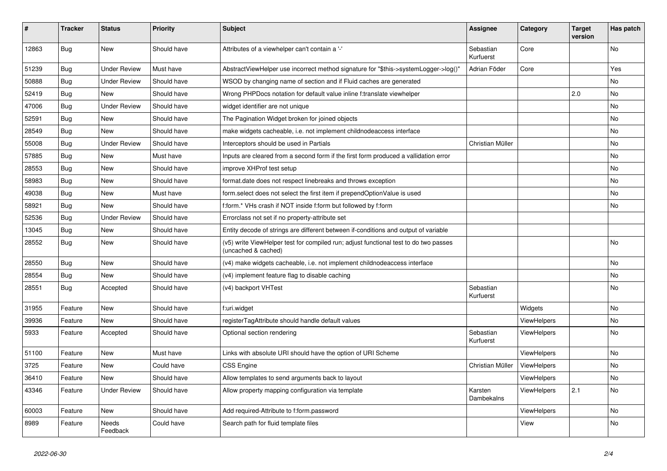| $\vert$ # | <b>Tracker</b> | <b>Status</b>       | <b>Priority</b> | <b>Subject</b>                                                                                              | <b>Assignee</b>        | Category           | <b>Target</b><br>version | Has patch |
|-----------|----------------|---------------------|-----------------|-------------------------------------------------------------------------------------------------------------|------------------------|--------------------|--------------------------|-----------|
| 12863     | <b>Bug</b>     | <b>New</b>          | Should have     | Attributes of a viewhelper can't contain a '-'                                                              | Sebastian<br>Kurfuerst | Core               |                          | <b>No</b> |
| 51239     | Bug            | <b>Under Review</b> | Must have       | AbstractViewHelper use incorrect method signature for "\$this->systemLogger->log()"                         | Adrian Föder           | Core               |                          | Yes       |
| 50888     | Bug            | <b>Under Review</b> | Should have     | WSOD by changing name of section and if Fluid caches are generated                                          |                        |                    |                          | No        |
| 52419     | Bug            | New                 | Should have     | Wrong PHPDocs notation for default value inline f:translate viewhelper                                      |                        |                    | 2.0                      | <b>No</b> |
| 47006     | Bug            | <b>Under Review</b> | Should have     | widget identifier are not unique                                                                            |                        |                    |                          | No        |
| 52591     | Bug            | New                 | Should have     | The Pagination Widget broken for joined objects                                                             |                        |                    |                          | No        |
| 28549     | Bug            | <b>New</b>          | Should have     | make widgets cacheable, i.e. not implement childnodeaccess interface                                        |                        |                    |                          | No        |
| 55008     | Bug            | <b>Under Review</b> | Should have     | Interceptors should be used in Partials                                                                     | Christian Müller       |                    |                          | No        |
| 57885     | <b>Bug</b>     | New                 | Must have       | Inputs are cleared from a second form if the first form produced a vallidation error                        |                        |                    |                          | No        |
| 28553     | Bug            | New                 | Should have     | improve XHProf test setup                                                                                   |                        |                    |                          | No        |
| 58983     | <b>Bug</b>     | <b>New</b>          | Should have     | format.date does not respect linebreaks and throws exception                                                |                        |                    |                          | No        |
| 49038     | <b>Bug</b>     | New                 | Must have       | form select does not select the first item if prependOptionValue is used                                    |                        |                    |                          | No        |
| 58921     | <b>Bug</b>     | New                 | Should have     | f:form.* VHs crash if NOT inside f:form but followed by f:form                                              |                        |                    |                          | No        |
| 52536     | Bug            | <b>Under Review</b> | Should have     | Errorclass not set if no property-attribute set                                                             |                        |                    |                          |           |
| 13045     | Bug            | New                 | Should have     | Entity decode of strings are different between if-conditions and output of variable                         |                        |                    |                          |           |
| 28552     | Bug            | <b>New</b>          | Should have     | (v5) write ViewHelper test for compiled run; adjust functional test to do two passes<br>(uncached & cached) |                        |                    |                          | <b>No</b> |
| 28550     | Bug            | New                 | Should have     | (v4) make widgets cacheable, i.e. not implement childnodeaccess interface                                   |                        |                    |                          | <b>No</b> |
| 28554     | Bug            | <b>New</b>          | Should have     | (v4) implement feature flag to disable caching                                                              |                        |                    |                          | <b>No</b> |
| 28551     | Bug            | Accepted            | Should have     | (v4) backport VHTest                                                                                        | Sebastian<br>Kurfuerst |                    |                          | <b>No</b> |
| 31955     | Feature        | New                 | Should have     | f:uri.widget                                                                                                |                        | Widgets            |                          | No        |
| 39936     | Feature        | New                 | Should have     | registerTagAttribute should handle default values                                                           |                        | <b>ViewHelpers</b> |                          | No        |
| 5933      | Feature        | Accepted            | Should have     | Optional section rendering                                                                                  | Sebastian<br>Kurfuerst | ViewHelpers        |                          | <b>No</b> |
| 51100     | Feature        | New                 | Must have       | Links with absolute URI should have the option of URI Scheme                                                |                        | <b>ViewHelpers</b> |                          | <b>No</b> |
| 3725      | Feature        | New                 | Could have      | CSS Engine                                                                                                  | Christian Müller       | ViewHelpers        |                          | <b>No</b> |
| 36410     | Feature        | <b>New</b>          | Should have     | Allow templates to send arguments back to layout                                                            |                        | <b>ViewHelpers</b> |                          | <b>No</b> |
| 43346     | Feature        | <b>Under Review</b> | Should have     | Allow property mapping configuration via template                                                           | Karsten<br>Dambekalns  | <b>ViewHelpers</b> | 2.1                      | <b>No</b> |
| 60003     | Feature        | <b>New</b>          | Should have     | Add required-Attribute to f:form.password                                                                   |                        | ViewHelpers        |                          | <b>No</b> |
| 8989      | Feature        | Needs<br>Feedback   | Could have      | Search path for fluid template files                                                                        |                        | View               |                          | <b>No</b> |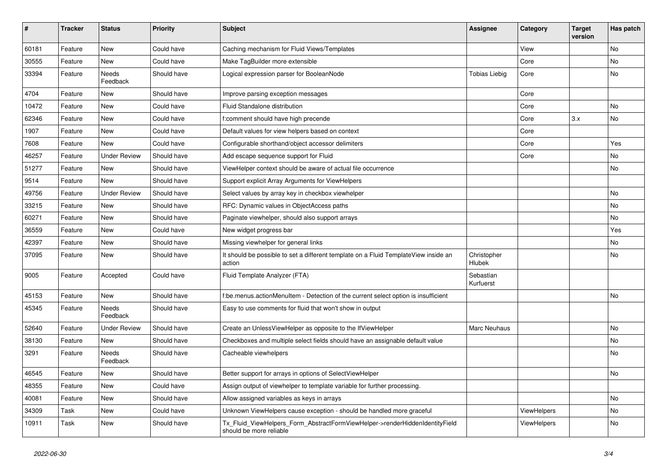| $\vert$ # | <b>Tracker</b> | <b>Status</b>       | <b>Priority</b> | <b>Subject</b>                                                                                         | <b>Assignee</b>              | Category           | <b>Target</b><br>version | Has patch |
|-----------|----------------|---------------------|-----------------|--------------------------------------------------------------------------------------------------------|------------------------------|--------------------|--------------------------|-----------|
| 60181     | Feature        | <b>New</b>          | Could have      | Caching mechanism for Fluid Views/Templates                                                            |                              | View               |                          | <b>No</b> |
| 30555     | Feature        | New                 | Could have      | Make TagBuilder more extensible                                                                        |                              | Core               |                          | <b>No</b> |
| 33394     | Feature        | Needs<br>Feedback   | Should have     | Logical expression parser for BooleanNode                                                              | <b>Tobias Liebig</b>         | Core               |                          | <b>No</b> |
| 4704      | Feature        | New                 | Should have     | Improve parsing exception messages                                                                     |                              | Core               |                          |           |
| 10472     | Feature        | New                 | Could have      | Fluid Standalone distribution                                                                          |                              | Core               |                          | No        |
| 62346     | Feature        | New                 | Could have      | f:comment should have high precende                                                                    |                              | Core               | 3.x                      | No        |
| 1907      | Feature        | New                 | Could have      | Default values for view helpers based on context                                                       |                              | Core               |                          |           |
| 7608      | Feature        | New                 | Could have      | Configurable shorthand/object accessor delimiters                                                      |                              | Core               |                          | Yes       |
| 46257     | Feature        | Under Review        | Should have     | Add escape sequence support for Fluid                                                                  |                              | Core               |                          | No        |
| 51277     | Feature        | New                 | Should have     | ViewHelper context should be aware of actual file occurrence                                           |                              |                    |                          | No        |
| 9514      | Feature        | New                 | Should have     | Support explicit Array Arguments for ViewHelpers                                                       |                              |                    |                          |           |
| 49756     | Feature        | <b>Under Review</b> | Should have     | Select values by array key in checkbox viewhelper                                                      |                              |                    |                          | No        |
| 33215     | Feature        | New                 | Should have     | RFC: Dynamic values in ObjectAccess paths                                                              |                              |                    |                          | No        |
| 60271     | Feature        | New                 | Should have     | Paginate viewhelper, should also support arrays                                                        |                              |                    |                          | No        |
| 36559     | Feature        | <b>New</b>          | Could have      | New widget progress bar                                                                                |                              |                    |                          | Yes       |
| 42397     | Feature        | <b>New</b>          | Should have     | Missing viewhelper for general links                                                                   |                              |                    |                          | No        |
| 37095     | Feature        | New                 | Should have     | It should be possible to set a different template on a Fluid TemplateView inside an<br>action          | Christopher<br><b>Hlubek</b> |                    |                          | <b>No</b> |
| 9005      | Feature        | Accepted            | Could have      | Fluid Template Analyzer (FTA)                                                                          | Sebastian<br>Kurfuerst       |                    |                          |           |
| 45153     | Feature        | New                 | Should have     | f:be.menus.actionMenuItem - Detection of the current select option is insufficient                     |                              |                    |                          | No        |
| 45345     | Feature        | Needs<br>Feedback   | Should have     | Easy to use comments for fluid that won't show in output                                               |                              |                    |                          |           |
| 52640     | Feature        | <b>Under Review</b> | Should have     | Create an UnlessViewHelper as opposite to the IfViewHelper                                             | Marc Neuhaus                 |                    |                          | <b>No</b> |
| 38130     | Feature        | New                 | Should have     | Checkboxes and multiple select fields should have an assignable default value                          |                              |                    |                          | No        |
| 3291      | Feature        | Needs<br>Feedback   | Should have     | Cacheable viewhelpers                                                                                  |                              |                    |                          | No        |
| 46545     | Feature        | New                 | Should have     | Better support for arrays in options of SelectViewHelper                                               |                              |                    |                          | <b>No</b> |
| 48355     | Feature        | New                 | Could have      | Assign output of viewhelper to template variable for further processing.                               |                              |                    |                          |           |
| 40081     | Feature        | New                 | Should have     | Allow assigned variables as keys in arrays                                                             |                              |                    |                          | No        |
| 34309     | Task           | New                 | Could have      | Unknown ViewHelpers cause exception - should be handled more graceful                                  |                              | <b>ViewHelpers</b> |                          | No        |
| 10911     | Task           | <b>New</b>          | Should have     | Tx_Fluid_ViewHelpers_Form_AbstractFormViewHelper->renderHiddenIdentityField<br>should be more reliable |                              | ViewHelpers        |                          | No        |